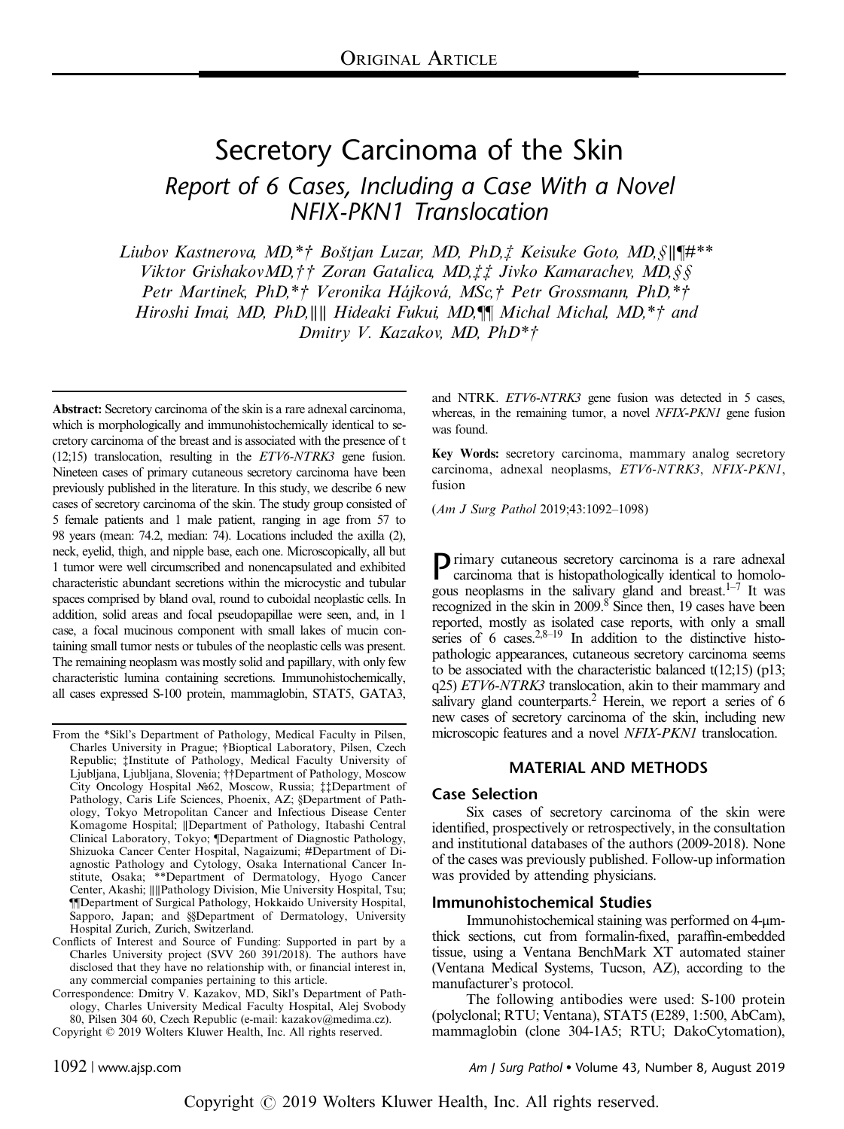# Secretory Carcinoma of the Skin Report of 6 Cases, Including a Case With a Novel NFIX-PKN1 Translocation

Liubov Kastnerova, MD,\*† Boštjan Luzar, MD, PhD,‡ Keisuke Goto, MD,§∥¶#\*\* Viktor GrishakovMD,†† Zoran Gatalica, MD,‡‡ Jivko Kamarachev, MD,§§ Petr Martinek, PhD,\*† Veronika Hájková, MSc,† Petr Grossmann, PhD,\*† Hiroshi Imai, MD, PhD,∥∥ Hideaki Fukui, MD,¶¶ Michal Michal, MD,\*† and Dmitry V. Kazakov, MD, PhD\*†

Abstract: Secretory carcinoma of the skin is a rare adnexal carcinoma, which is morphologically and immunohistochemically identical to secretory carcinoma of the breast and is associated with the presence of t (12;15) translocation, resulting in the ETV6-NTRK3 gene fusion. Nineteen cases of primary cutaneous secretory carcinoma have been previously published in the literature. In this study, we describe 6 new cases of secretory carcinoma of the skin. The study group consisted of 5 female patients and 1 male patient, ranging in age from 57 to 98 years (mean: 74.2, median: 74). Locations included the axilla (2), neck, eyelid, thigh, and nipple base, each one. Microscopically, all but 1 tumor were well circumscribed and nonencapsulated and exhibited characteristic abundant secretions within the microcystic and tubular spaces comprised by bland oval, round to cuboidal neoplastic cells. In addition, solid areas and focal pseudopapillae were seen, and, in 1 case, a focal mucinous component with small lakes of mucin containing small tumor nests or tubules of the neoplastic cells was present. The remaining neoplasm was mostly solid and papillary, with only few characteristic lumina containing secretions. Immunohistochemically, all cases expressed S-100 protein, mammaglobin, STAT5, GATA3,

From the \*Sikl's Department of Pathology, Medical Faculty in Pilsen, Charles University in Prague; †Bioptical Laboratory, Pilsen, Czech Republic; ‡Institute of Pathology, Medical Faculty University of Ljubljana, Ljubljana, Slovenia; ††Department of Pathology, Moscow City Oncology Hospital №62, Moscow, Russia; ‡‡Department of Pathology, Caris Life Sciences, Phoenix, AZ; §Department of Pathology, Tokyo Metropolitan Cancer and Infectious Disease Center Komagome Hospital; ∥Department of Pathology, Itabashi Central Clinical Laboratory, Tokyo; ¶Department of Diagnostic Pathology, Shizuoka Cancer Center Hospital, Nagaizumi; #Department of Diagnostic Pathology and Cytology, Osaka International Cancer Institute, Osaka; \*\*Department of Dermatology, Hyogo Cancer Center, Akashi; ∥∥Pathology Division, Mie University Hospital, Tsu; ¶¶Department of Surgical Pathology, Hokkaido University Hospital, Sapporo, Japan; and §§Department of Dermatology, University Hospital Zurich, Zurich, Switzerland.

Conflicts of Interest and Source of Funding: Supported in part by a Charles University project (SVV 260 391/2018). The authors have disclosed that they have no relationship with, or financial interest in, any commercial companies pertaining to this article.

Correspondence: Dmitry V. Kazakov, MD, Sikl's Department of Pathology, Charles University Medical Faculty Hospital, Alej Svobody 80, Pilsen 304 60, Czech Republic (e-mail: [kazakov@medima.cz\)](mailto:kazakov@medima.cz). Copyright © 2019 Wolters Kluwer Health, Inc. All rights reserved.

and NTRK. ETV6-NTRK3 gene fusion was detected in 5 cases, whereas, in the remaining tumor, a novel NFIX-PKN1 gene fusion was found.

Key Words: secretory carcinoma, mammary analog secretory carcinoma, adnexal neoplasms, ETV6-NTRK3, NFIX-PKN1, fusion

(Am J Surg Pathol 2019;43:1092–1098)

Primary cutaneous secretory carcinoma is a rare adnexal carcinoma that is histopathologically identical to homologous neoplasms in the salivary gland and breast. $1-7$  It was recognized in the skin in 2009.<sup>[8](#page-6-0)</sup> Since then, 19 cases have been reported, mostly as isolated case reports, with only a small series of 6 cases. $2,8-19$  In addition to the distinctive histopathologic appearances, cutaneous secretory carcinoma seems to be associated with the characteristic balanced t(12;15) (p13; q25) ETV6-NTRK3 translocation, akin to their mammary and salivary gland counterparts.<sup>2</sup> Herein, we report a series of 6 new cases of secretory carcinoma of the skin, including new microscopic features and a novel NFIX-PKN1 translocation.

#### MATERIAL AND METHODS

#### Case Selection

Six cases of secretory carcinoma of the skin were identified, prospectively or retrospectively, in the consultation and institutional databases of the authors (2009-2018). None of the cases was previously published. Follow-up information was provided by attending physicians.

#### Immunohistochemical Studies

Immunohistochemical staining was performed on 4-μmthick sections, cut from formalin-fixed, paraffin-embedded tissue, using a Ventana BenchMark XT automated stainer (Ventana Medical Systems, Tucson, AZ), according to the manufacturer's protocol.

The following antibodies were used: S-100 protein (polyclonal; RTU; Ventana), STAT5 (E289, 1:500, AbCam), mammaglobin (clone 304-1A5; RTU; DakoCytomation),

1092 | www.ajsp.com Am J Surg Pathol Volume 43, Number 8, August 2019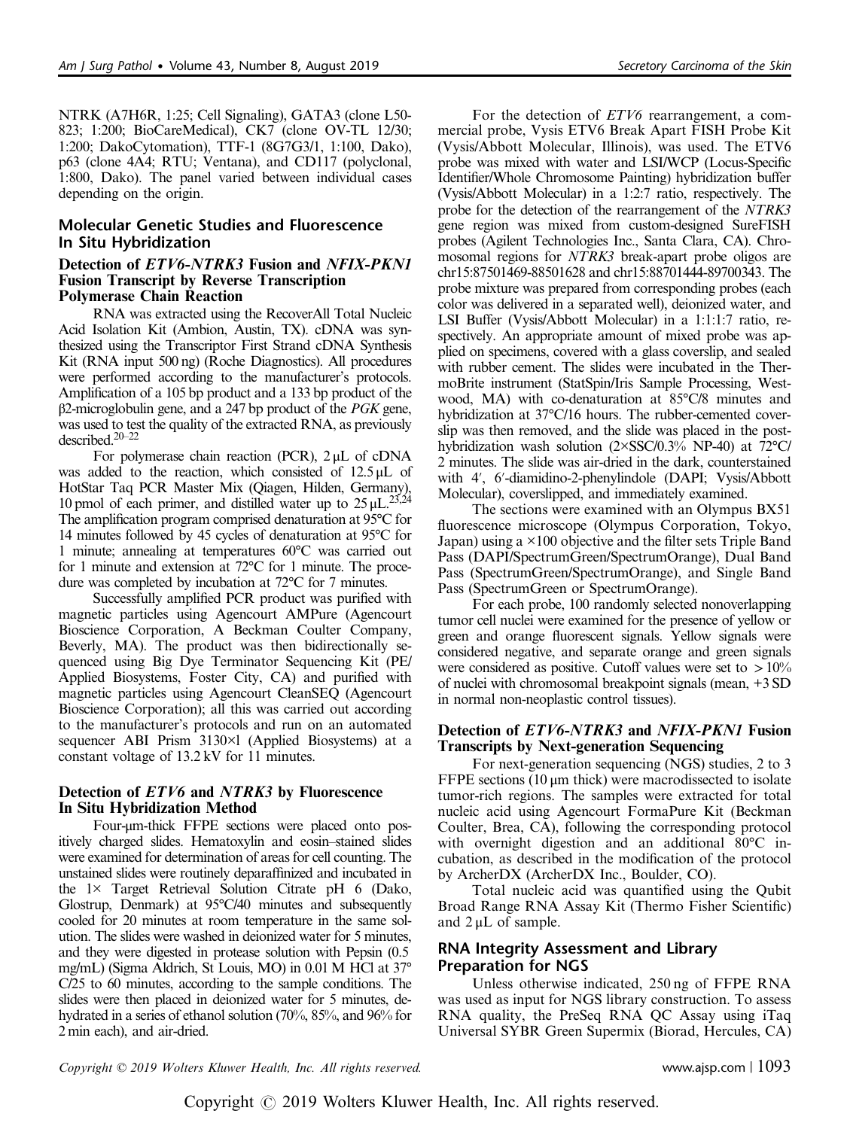NTRK (A7H6R, 1:25; Cell Signaling), GATA3 (clone L50- 823; 1:200; BioCareMedical), CK7 (clone OV-TL 12/30; 1:200; DakoCytomation), TTF-1 (8G7G3/1, 1:100, Dako), p63 (clone 4A4; RTU; Ventana), and CD117 (polyclonal, 1:800, Dako). The panel varied between individual cases depending on the origin.

# Molecular Genetic Studies and Fluorescence In Situ Hybridization

#### Detection of ETV6-NTRK3 Fusion and NFIX-PKN1 Fusion Transcript by Reverse Transcription Polymerase Chain Reaction

RNA was extracted using the RecoverAll Total Nucleic Acid Isolation Kit (Ambion, Austin, TX). cDNA was synthesized using the Transcriptor First Strand cDNA Synthesis Kit (RNA input 500 ng) (Roche Diagnostics). All procedures were performed according to the manufacturer's protocols. Amplification of a 105 bp product and a 133 bp product of the  $β2$ -microglobulin gene, and a 247 bp product of the *PGK* gene, was used to test the quality of the extracted RNA, as previously described[.20](#page-6-0)–<sup>22</sup>

For polymerase chain reaction (PCR), 2 μL of cDNA was added to the reaction, which consisted of 12.5 μL of HotStar Taq PCR Master Mix (Qiagen, Hilden, Germany), 10 pmol of each primer, and distilled water up to  $25 \mu L$ .<sup>23,24</sup> The amplification program comprised denaturation at 95°C for 14 minutes followed by 45 cycles of denaturation at 95°C for 1 minute; annealing at temperatures 60°C was carried out for 1 minute and extension at 72°C for 1 minute. The procedure was completed by incubation at 72°C for 7 minutes.

Successfully amplified PCR product was purified with magnetic particles using Agencourt AMPure (Agencourt Bioscience Corporation, A Beckman Coulter Company, Beverly, MA). The product was then bidirectionally sequenced using Big Dye Terminator Sequencing Kit (PE/ Applied Biosystems, Foster City, CA) and purified with magnetic particles using Agencourt CleanSEQ (Agencourt Bioscience Corporation); all this was carried out according to the manufacturer's protocols and run on an automated sequencer ABI Prism 3130×l (Applied Biosystems) at a constant voltage of 13.2 kV for 11 minutes.

# Detection of *ETV6* and *NTRK3* by Fluorescence In Situ Hybridization Method

Four-μm-thick FFPE sections were placed onto positively charged slides. Hematoxylin and eosin–stained slides were examined for determination of areas for cell counting. The unstained slides were routinely deparaffinized and incubated in the 1× Target Retrieval Solution Citrate pH 6 (Dako, Glostrup, Denmark) at 95°C/40 minutes and subsequently cooled for 20 minutes at room temperature in the same solution. The slides were washed in deionized water for 5 minutes, and they were digested in protease solution with Pepsin (0.5 mg/mL) (Sigma Aldrich, St Louis, MO) in 0.01 M HCl at 37° C/25 to 60 minutes, according to the sample conditions. The slides were then placed in deionized water for 5 minutes, dehydrated in a series of ethanol solution (70%, 85%, and 96% for 2 min each), and air-dried.

For the detection of *ETV6* rearrangement, a commercial probe, Vysis ETV6 Break Apart FISH Probe Kit (Vysis/Abbott Molecular, Illinois), was used. The ETV6 probe was mixed with water and LSI/WCP (Locus-Specific Identifier/Whole Chromosome Painting) hybridization buffer (Vysis/Abbott Molecular) in a 1:2:7 ratio, respectively. The probe for the detection of the rearrangement of the NTRK3 gene region was mixed from custom-designed SureFISH probes (Agilent Technologies Inc., Santa Clara, CA). Chromosomal regions for NTRK3 break-apart probe oligos are chr15:87501469-88501628 and chr15:88701444-89700343. The probe mixture was prepared from corresponding probes (each color was delivered in a separated well), deionized water, and LSI Buffer (Vysis/Abbott Molecular) in a 1:1:1:7 ratio, respectively. An appropriate amount of mixed probe was applied on specimens, covered with a glass coverslip, and sealed with rubber cement. The slides were incubated in the ThermoBrite instrument (StatSpin/Iris Sample Processing, Westwood, MA) with co-denaturation at 85°C/8 minutes and hybridization at 37°C/16 hours. The rubber-cemented coverslip was then removed, and the slide was placed in the posthybridization wash solution (2×SSC/0.3% NP-40) at 72°C/ 2 minutes. The slide was air-dried in the dark, counterstained with 4′, 6′-diamidino-2-phenylindole (DAPI; Vysis/Abbott Molecular), coverslipped, and immediately examined.

The sections were examined with an Olympus BX51 fluorescence microscope (Olympus Corporation, Tokyo, Japan) using a ×100 objective and the filter sets Triple Band Pass (DAPI/SpectrumGreen/SpectrumOrange), Dual Band Pass (SpectrumGreen/SpectrumOrange), and Single Band Pass (SpectrumGreen or SpectrumOrange).

For each probe, 100 randomly selected nonoverlapping tumor cell nuclei were examined for the presence of yellow or green and orange fluorescent signals. Yellow signals were considered negative, and separate orange and green signals were considered as positive. Cutoff values were set to  $>10\%$ of nuclei with chromosomal breakpoint signals (mean, +3 SD in normal non-neoplastic control tissues).

#### Detection of ETV6-NTRK3 and NFIX-PKN1 Fusion Transcripts by Next-generation Sequencing

For next-generation sequencing (NGS) studies, 2 to 3 FFPE sections (10 μm thick) were macrodissected to isolate tumor-rich regions. The samples were extracted for total nucleic acid using Agencourt FormaPure Kit (Beckman Coulter, Brea, CA), following the corresponding protocol with overnight digestion and an additional 80°C incubation, as described in the modification of the protocol by ArcherDX (ArcherDX Inc., Boulder, CO).

Total nucleic acid was quantified using the Qubit Broad Range RNA Assay Kit (Thermo Fisher Scientific) and  $2 \mu L$  of sample.

# RNA Integrity Assessment and Library Preparation for NGS

Unless otherwise indicated, 250 ng of FFPE RNA was used as input for NGS library construction. To assess RNA quality, the PreSeq RNA QC Assay using iTaq Universal SYBR Green Supermix (Biorad, Hercules, CA)

Copyright © 2019 Wolters Kluwer Health, Inc. All rights reserved. www.ajsp.com | 1093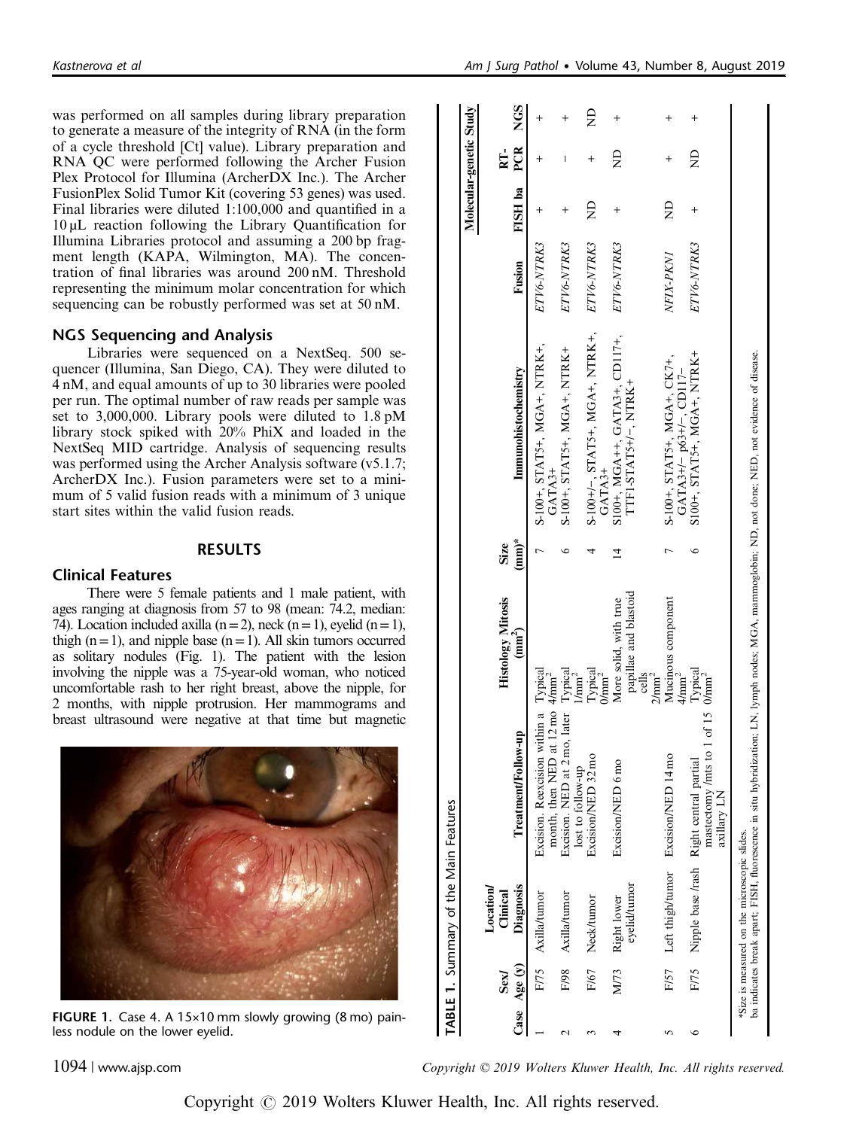<span id="page-2-0"></span>was performed on all samples during library preparation to generate a measure of the integrity of RNA (in the form of a cycle threshold [Ct] value). Library preparation and RNA QC were performed following the Archer Fusion Plex Protocol for Illumina (ArcherDX Inc.). The Archer FusionPlex Solid Tumor Kit (covering 53 genes) was used. Final libraries were diluted 1:100,000 and quantified in a 10 µL reaction following the Library Quantification for Illumina Libraries protocol and assuming a 200 bp fragment length (KAPA, Wilmington, MA). The concentration of final libraries was around 200 nM. Threshold representing the minimum molar concentration for which sequencing can be robustly performed was set at 50 nM.

# NGS Sequencing and Analysis

Libraries were sequenced on a NextSeq. 500 sequencer (Illumina, San Diego, CA). They were diluted to 4 nM, and equal amounts of up to 30 libraries were pooled per run. The optimal number of raw reads per sample was set to 3,000,000. Library pools were diluted to 1.8 pM library stock spiked with 20% PhiX and loaded in the NextSeq MID cartridge. Analysis of sequencing results was performed using the Archer Analysis software (v5.1.7; ArcherDX Inc.). Fusion parameters were set to a minimum of 5 valid fusion reads with a minimum of 3 unique start sites within the valid fusion reads.

### RESULTS

# Clinical Features

There were 5 female patients and 1 male patient, with ages ranging at diagnosis from 57 to 98 (mean: 74.2, median: 74). Location included axilla  $(n=2)$ , neck  $(n=1)$ , eyelid  $(n=1)$ , thigh  $(n=1)$ , and nipple base  $(n=1)$ . All skin tumors occurred as solitary nodules (Fig. 1). The patient with the lesion involving the nipple was a 75-year-old woman, who noticed uncomfortable rash to her right breast, above the nipple, for 2 months, with nipple protrusion. Her mammograms and breast ultrasound were negative at that time but magnetic



FIGURE 1. Case 4. A 15×10 mm slowly growing (8 mo) painless nodule on the lower eyelid.

|                       | TABLE 1. Summary of the Main Features        |                                                                                              |                                                                              |                  |                                                                                                                                                    |            |                         |                                    |   |
|-----------------------|----------------------------------------------|----------------------------------------------------------------------------------------------|------------------------------------------------------------------------------|------------------|----------------------------------------------------------------------------------------------------------------------------------------------------|------------|-------------------------|------------------------------------|---|
|                       |                                              |                                                                                              |                                                                              |                  |                                                                                                                                                    |            | Molecular-genetic Study |                                    |   |
|                       | Location                                     |                                                                                              |                                                                              |                  |                                                                                                                                                    |            |                         |                                    |   |
| Case $Age(y)$<br>Sexl | Diagnosis<br>Clinical                        | Treatment/Follow-up                                                                          | <b>Histology Mitosis</b><br>(mm <sup>2</sup> )                               | $(mm)^*$<br>Size | Immunohistochemistry                                                                                                                               | Fusion     | FISH ba                 | PCR NGS<br>$\overline{\mathbf{R}}$ |   |
|                       | F/75 Axilla/tumor                            | Excision. Reexcision within a Typical<br>month, then NED at 12 mo 4/mm <sup>2</sup>          |                                                                              |                  | $S-100+, STAT5+, MGA+, NTRK+,$<br>$GATA3+$                                                                                                         | ETV6-NTRK3 |                         |                                    |   |
|                       | F/98 Axilla/tumor                            | Excision. NED at 2 mo, later<br>lost to follow-up                                            | Typical<br>I/mm <sup>2</sup>                                                 |                  | S-100+, STAT5+, MGA+, NTRK+                                                                                                                        | ETV6-NTRK3 | +                       | I                                  |   |
|                       | F/67 Neck/tumor                              | Excision/NED 32 mo                                                                           | $\Gamma \rm{ypidal} \over {\rm{0/mm}}^2$                                     |                  | $S-100+/-$ , STAT5+, MGA+, NTRK+,<br>GATA <sub>3+</sub>                                                                                            | ETV6-NTRK3 | $\mathsf{R}$            |                                    | £ |
| M/73                  | eyelid/tumor<br>Right lower                  | Excision/NED 6 mo                                                                            | papillae and blastoid<br>More solid, with true<br>cells<br>$2/\mathrm{mm}^2$ | ᅺ                | $S100+$ , MGA++, GATA3+, CD117+,<br>TTF1-STAT5+/-, NTRK+                                                                                           | ETV6-NTRK3 | $\overline{+}$          | $\Xi$                              |   |
|                       |                                              | F/57 Left thigh/tumor Excision/NED 14 mo                                                     | Mucinous component<br>$4/\text{mm}^2$                                        |                  | S-100+, STAT5+, MGA+, CK7+,<br>$GATA3+/-$ p63+/-. CD117-                                                                                           | NFIX-PKNI  | $\Xi$                   |                                    |   |
|                       |                                              | of $15$<br>mastectomy /mts to<br>F/75 Nipple base /rash Right central partial<br>axillary LN | $\frac{\text{Typical}}{\text{O/mm}^2}$                                       |                  | $S100+$ , $STAT5+$ , $MGA+$ , $NTRK+$                                                                                                              | ETV6-NTRK3 |                         | $\Xi$                              |   |
|                       | *Size is measured on the microscopic slides. |                                                                                              |                                                                              |                  | ba indicates break apart; FISH, fluorescence in situ hybridization; LN, lymph nodes; MGA, mammoglobin; ND, not done; NED, not evidence of disease. |            |                         |                                    |   |

1094 | www.ajsp.com Copyright © 2019 Wolters Kluwer Health, Inc. All rights reserved.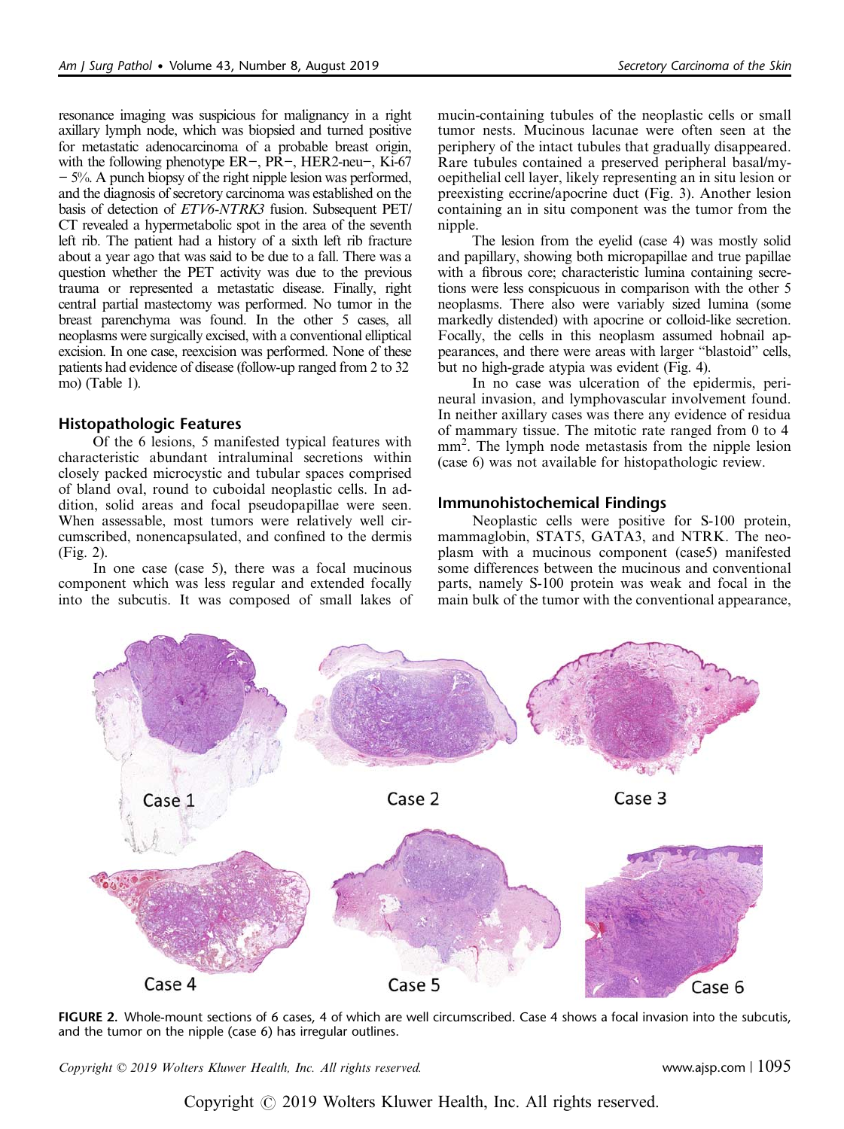<span id="page-3-0"></span>resonance imaging was suspicious for malignancy in a right axillary lymph node, which was biopsied and turned positive for metastatic adenocarcinoma of a probable breast origin, with the following phenotype ER−, PR−, HER2-neu−, Ki-67 − 5%. A punch biopsy of the right nipple lesion was performed, and the diagnosis of secretory carcinoma was established on the basis of detection of ETV6-NTRK3 fusion. Subsequent PET/ CT revealed a hypermetabolic spot in the area of the seventh left rib. The patient had a history of a sixth left rib fracture about a year ago that was said to be due to a fall. There was a question whether the PET activity was due to the previous trauma or represented a metastatic disease. Finally, right central partial mastectomy was performed. No tumor in the breast parenchyma was found. In the other 5 cases, all neoplasms were surgically excised, with a conventional elliptical excision. In one case, reexcision was performed. None of these patients had evidence of disease (follow-up ranged from 2 to 32 mo) [\(Table 1](#page-2-0)).

# Histopathologic Features

Of the 6 lesions, 5 manifested typical features with characteristic abundant intraluminal secretions within closely packed microcystic and tubular spaces comprised of bland oval, round to cuboidal neoplastic cells. In addition, solid areas and focal pseudopapillae were seen. When assessable, most tumors were relatively well circumscribed, nonencapsulated, and confined to the dermis (Fig. 2).

In one case (case 5), there was a focal mucinous component which was less regular and extended focally into the subcutis. It was composed of small lakes of mucin-containing tubules of the neoplastic cells or small tumor nests. Mucinous lacunae were often seen at the periphery of the intact tubules that gradually disappeared. Rare tubules contained a preserved peripheral basal/myoepithelial cell layer, likely representing an in situ lesion or preexisting eccrine/apocrine duct [\(Fig. 3\)](#page-4-0). Another lesion containing an in situ component was the tumor from the nipple.

The lesion from the eyelid (case 4) was mostly solid and papillary, showing both micropapillae and true papillae with a fibrous core; characteristic lumina containing secretions were less conspicuous in comparison with the other 5 neoplasms. There also were variably sized lumina (some markedly distended) with apocrine or colloid-like secretion. Focally, the cells in this neoplasm assumed hobnail appearances, and there were areas with larger "blastoid" cells, but no high-grade atypia was evident [\(Fig. 4](#page-5-0)).

In no case was ulceration of the epidermis, perineural invasion, and lymphovascular involvement found. In neither axillary cases was there any evidence of residua of mammary tissue. The mitotic rate ranged from 0 to 4 mm<sup>2</sup>. The lymph node metastasis from the nipple lesion (case 6) was not available for histopathologic review.

# Immunohistochemical Findings

Neoplastic cells were positive for S-100 protein, mammaglobin, STAT5, GATA3, and NTRK. The neoplasm with a mucinous component (case5) manifested some differences between the mucinous and conventional parts, namely S-100 protein was weak and focal in the main bulk of the tumor with the conventional appearance,



FIGURE 2. Whole-mount sections of 6 cases, 4 of which are well circumscribed. Case 4 shows a focal invasion into the subcutis, and the tumor on the nipple (case 6) has irregular outlines.

 $Copyright © 2019 Wolters Kluwer Health, Inc. All rights reserved.$  www.ajsp.com |  $1095$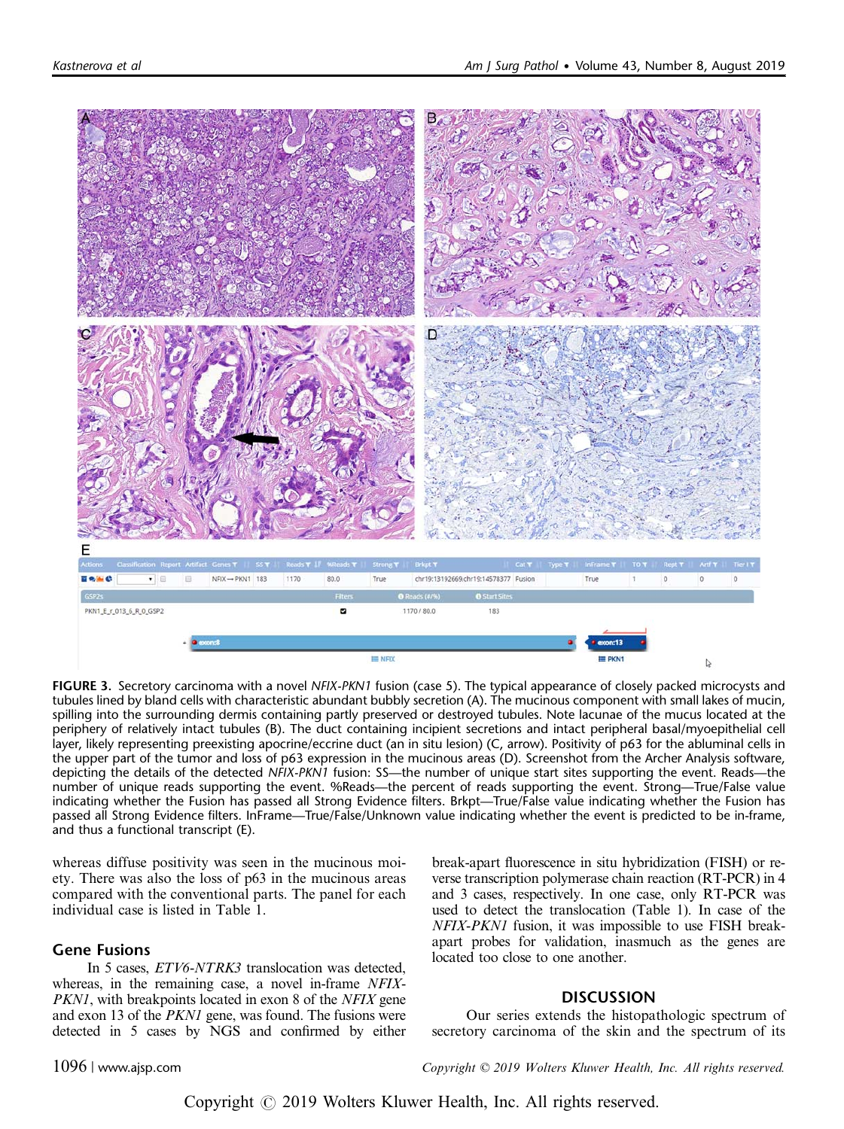<span id="page-4-0"></span>

FIGURE 3. Secretory carcinoma with a novel NFIX-PKN1 fusion (case 5). The typical appearance of closely packed microcysts and tubules lined by bland cells with characteristic abundant bubbly secretion (A). The mucinous component with small lakes of mucin, spilling into the surrounding dermis containing partly preserved or destroyed tubules. Note lacunae of the mucus located at the periphery of relatively intact tubules (B). The duct containing incipient secretions and intact peripheral basal/myoepithelial cell layer, likely representing preexisting apocrine/eccrine duct (an in situ lesion) (C, arrow). Positivity of p63 for the abluminal cells in the upper part of the tumor and loss of p63 expression in the mucinous areas (D). Screenshot from the Archer Analysis software, depicting the details of the detected NFIX-PKN1 fusion: SS—the number of unique start sites supporting the event. Reads—the number of unique reads supporting the event. %Reads—the percent of reads supporting the event. Strong—True/False value indicating whether the Fusion has passed all Strong Evidence filters. Brkpt—True/False value indicating whether the Fusion has passed all Strong Evidence filters. InFrame—True/False/Unknown value indicating whether the event is predicted to be in-frame, and thus a functional transcript (E).

whereas diffuse positivity was seen in the mucinous moiety. There was also the loss of p63 in the mucinous areas compared with the conventional parts. The panel for each individual case is listed in [Table 1](#page-2-0).

#### Gene Fusions

In 5 cases, ETV6-NTRK3 translocation was detected, whereas, in the remaining case, a novel in-frame NFIX-PKN1, with breakpoints located in exon 8 of the NFIX gene and exon 13 of the PKN1 gene, was found. The fusions were detected in 5 cases by NGS and confirmed by either

break-apart fluorescence in situ hybridization (FISH) or reverse transcription polymerase chain reaction (RT-PCR) in 4 and 3 cases, respectively. In one case, only RT-PCR was used to detect the translocation [\(Table 1\)](#page-2-0). In case of the NFIX-PKN1 fusion, it was impossible to use FISH breakapart probes for validation, inasmuch as the genes are located too close to one another.

#### **DISCUSSION**

Our series extends the histopathologic spectrum of secretory carcinoma of the skin and the spectrum of its

1096 | www.ajsp.com Copyright © 2019 Wolters Kluwer Health, Inc. All rights reserved.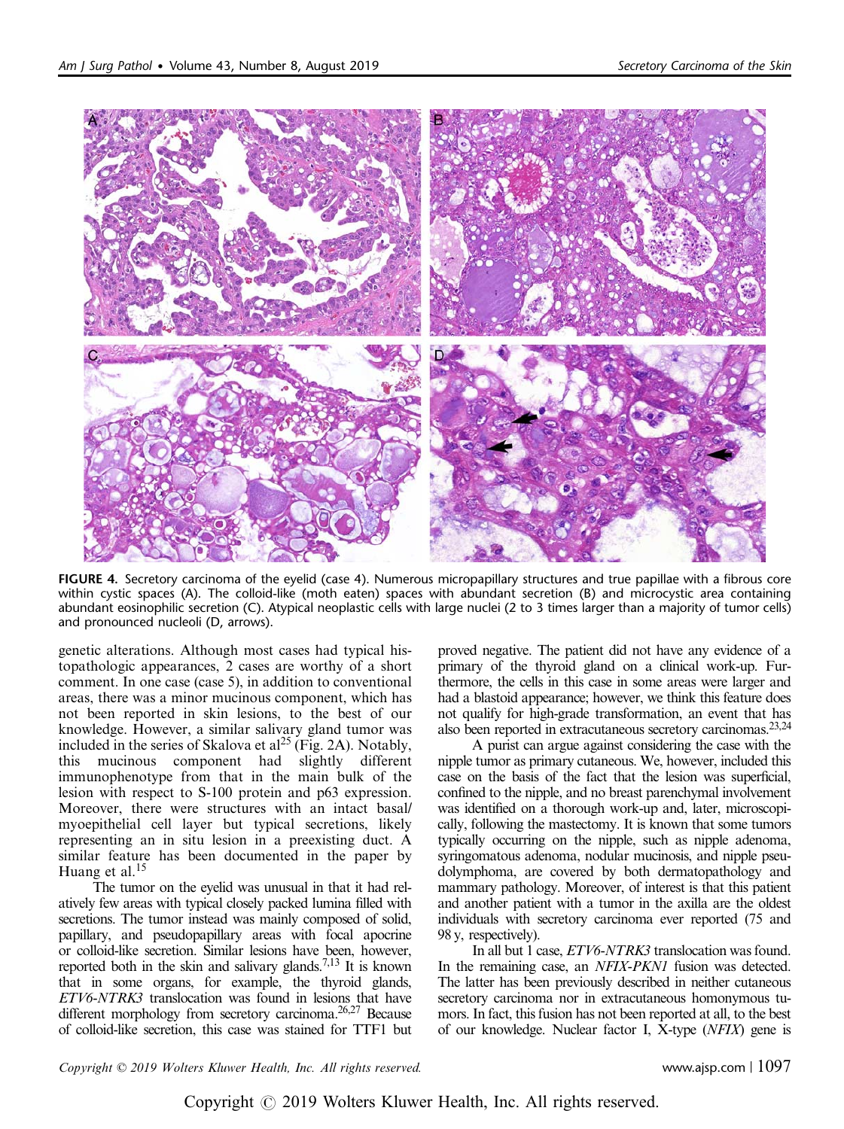<span id="page-5-0"></span>

FIGURE 4. Secretory carcinoma of the eyelid (case 4). Numerous micropapillary structures and true papillae with a fibrous core within cystic spaces (A). The colloid-like (moth eaten) spaces with abundant secretion (B) and microcystic area containing abundant eosinophilic secretion (C). Atypical neoplastic cells with large nuclei (2 to 3 times larger than a majority of tumor cells) and pronounced nucleoli (D, arrows).

genetic alterations. Although most cases had typical histopathologic appearances, 2 cases are worthy of a short comment. In one case (case 5), in addition to conventional areas, there was a minor mucinous component, which has not been reported in skin lesions, to the best of our knowledge. However, a similar salivary gland tumor was included in the series of Skalova et  $al^{25}$  $al^{25}$  $al^{25}$  ([Fig. 2A\)](#page-3-0). Notably, this mucinous component had slightly different immunophenotype from that in the main bulk of the lesion with respect to S-100 protein and p63 expression. Moreover, there were structures with an intact basal/ myoepithelial cell layer but typical secretions, likely representing an in situ lesion in a preexisting duct. A similar feature has been documented in the paper by Huang et al.<sup>[15](#page-6-0)</sup>

The tumor on the eyelid was unusual in that it had relatively few areas with typical closely packed lumina filled with secretions. The tumor instead was mainly composed of solid, papillary, and pseudopapillary areas with focal apocrine or colloid-like secretion. Similar lesions have been, however, reported both in the skin and salivary glands.<sup>7,13</sup> It is known that in some organs, for example, the thyroid glands, ETV6-NTRK3 translocation was found in lesions that have different morphology from secretory carcinoma.<sup>26,27</sup> Because of colloid-like secretion, this case was stained for TTF1 but proved negative. The patient did not have any evidence of a primary of the thyroid gland on a clinical work-up. Furthermore, the cells in this case in some areas were larger and had a blastoid appearance; however, we think this feature does not qualify for high-grade transformation, an event that has also been reported in extracutaneous secretory carcinomas[.23,24](#page-6-0)

A purist can argue against considering the case with the nipple tumor as primary cutaneous. We, however, included this case on the basis of the fact that the lesion was superficial, confined to the nipple, and no breast parenchymal involvement was identified on a thorough work-up and, later, microscopically, following the mastectomy. It is known that some tumors typically occurring on the nipple, such as nipple adenoma, syringomatous adenoma, nodular mucinosis, and nipple pseudolymphoma, are covered by both dermatopathology and mammary pathology. Moreover, of interest is that this patient and another patient with a tumor in the axilla are the oldest individuals with secretory carcinoma ever reported (75 and 98 y, respectively).

In all but 1 case, ETV6-NTRK3 translocation was found. In the remaining case, an *NFIX-PKN1* fusion was detected. The latter has been previously described in neither cutaneous secretory carcinoma nor in extracutaneous homonymous tumors. In fact, this fusion has not been reported at all, to the best of our knowledge. Nuclear factor I, X-type (NFIX) gene is

 $Copyright © 2019 Wolters Kluwer Health, Inc. All rights reserved.$